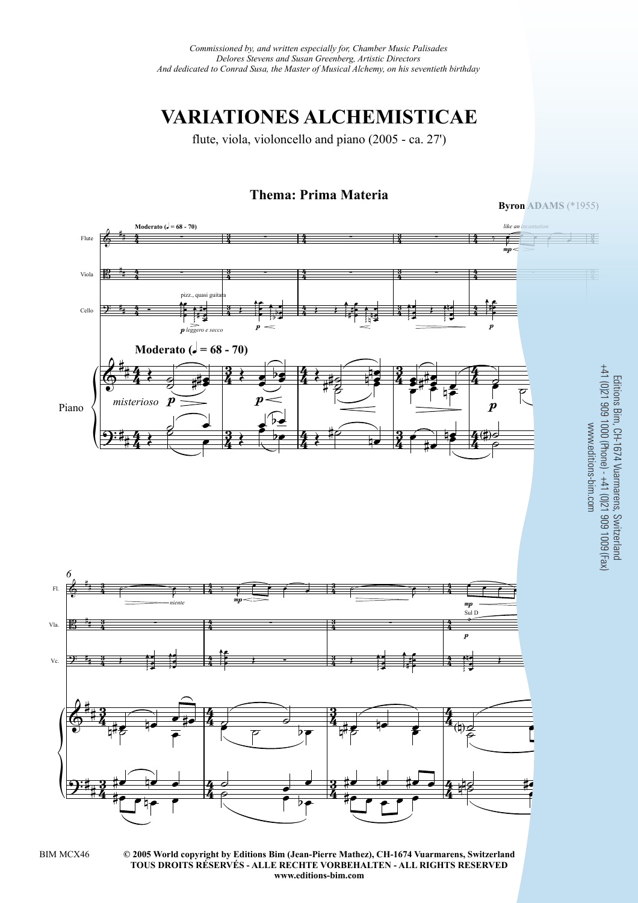## **VARIATIONES ALCHEMISTICAE**

flute, viola, violoncello and piano (2005 - ca. 27')



**BIM MCX46** 

<sup>© 2005</sup> World copyright by Editions Bim (Jean-Pierre Mathez), CH-1674 Vuarmarens, Switzerland TOUS DROITS RÉSERVÉS - ALLE RECHTE VORBEHALTEN - ALL RIGHTS RESERVED www.editions-bim.com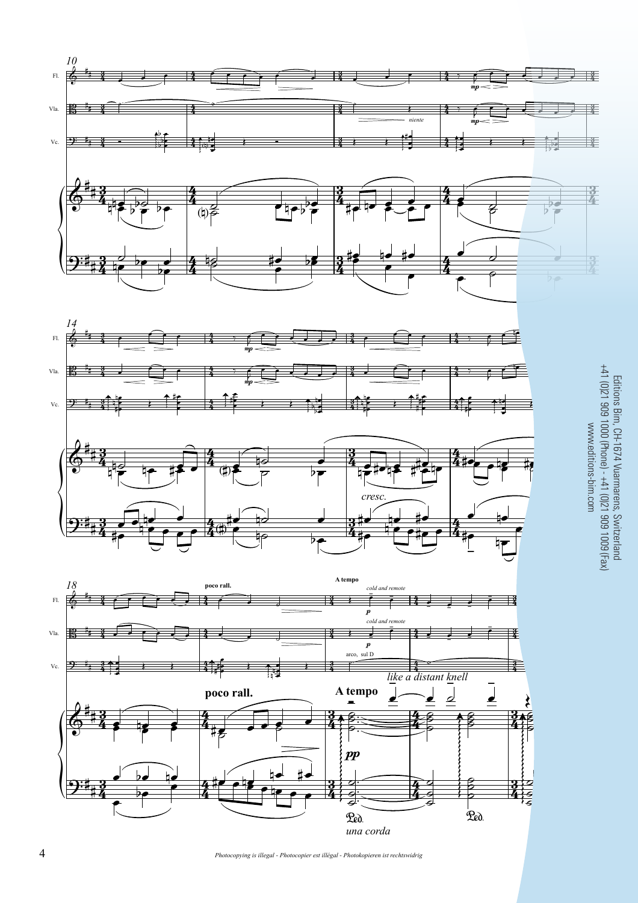



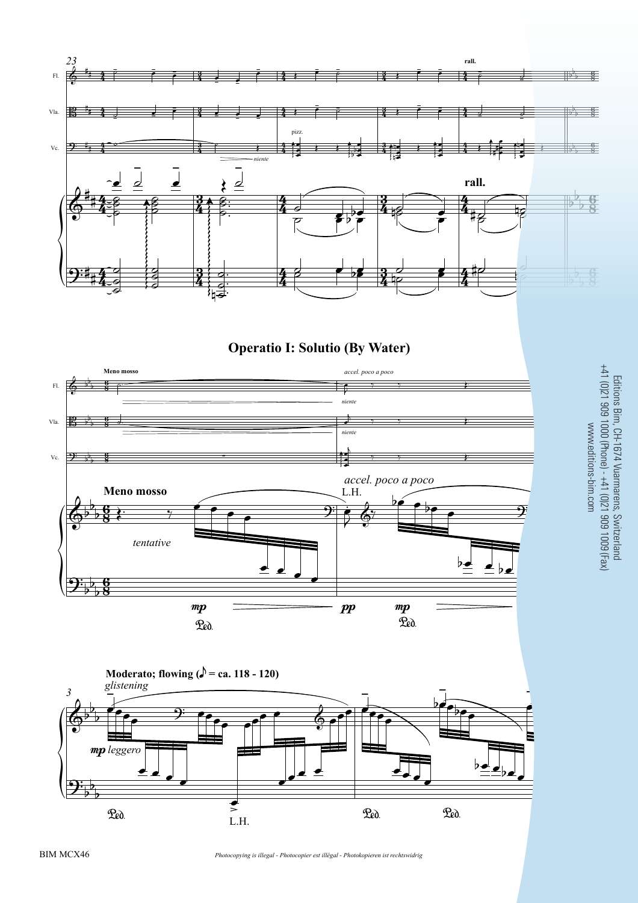

**Operatio I: Solutio (By Water)** 



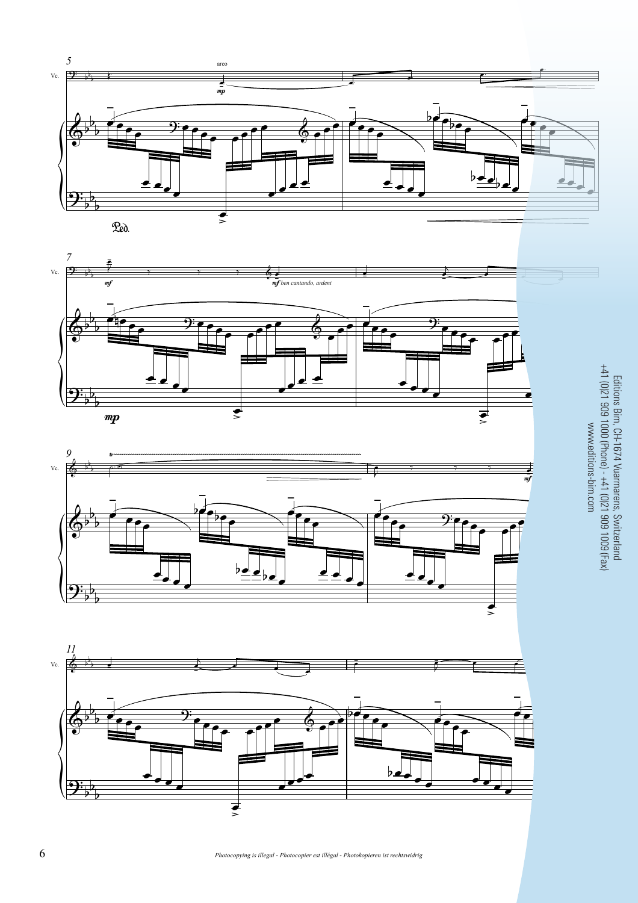





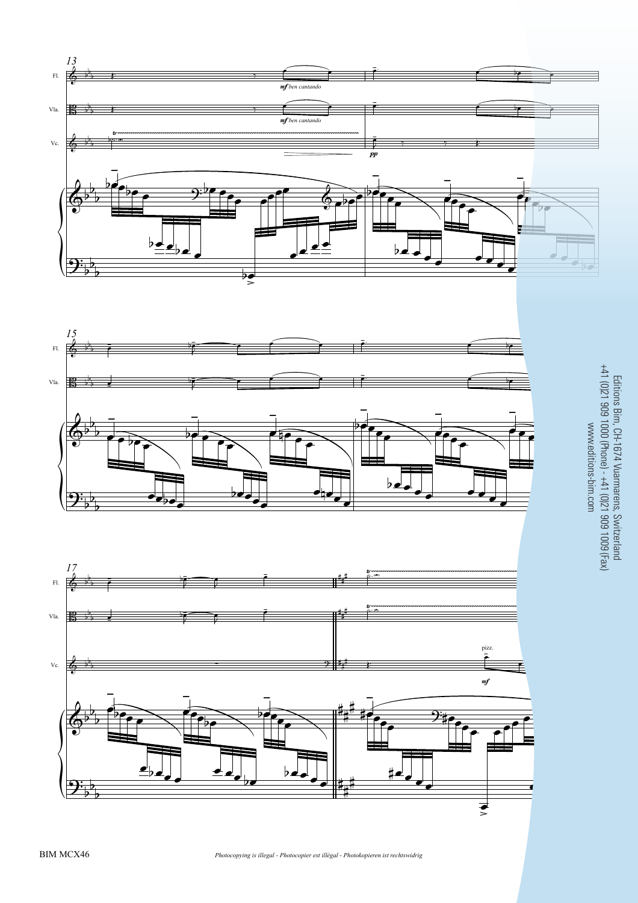



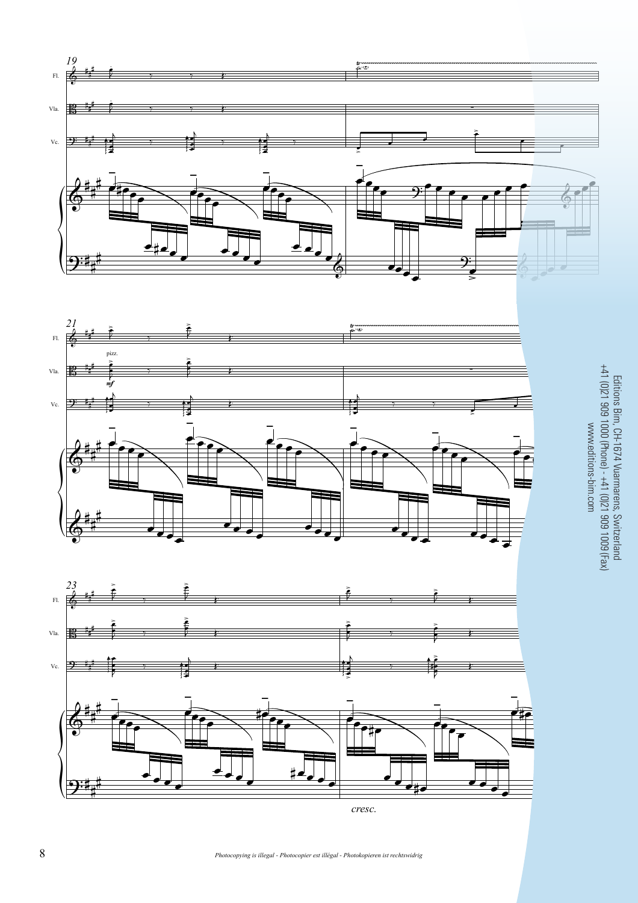



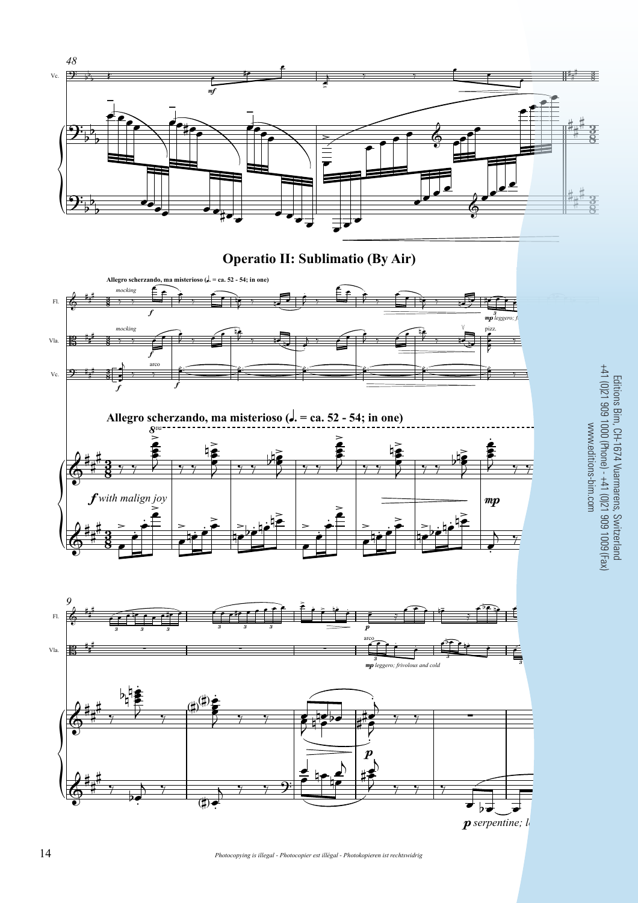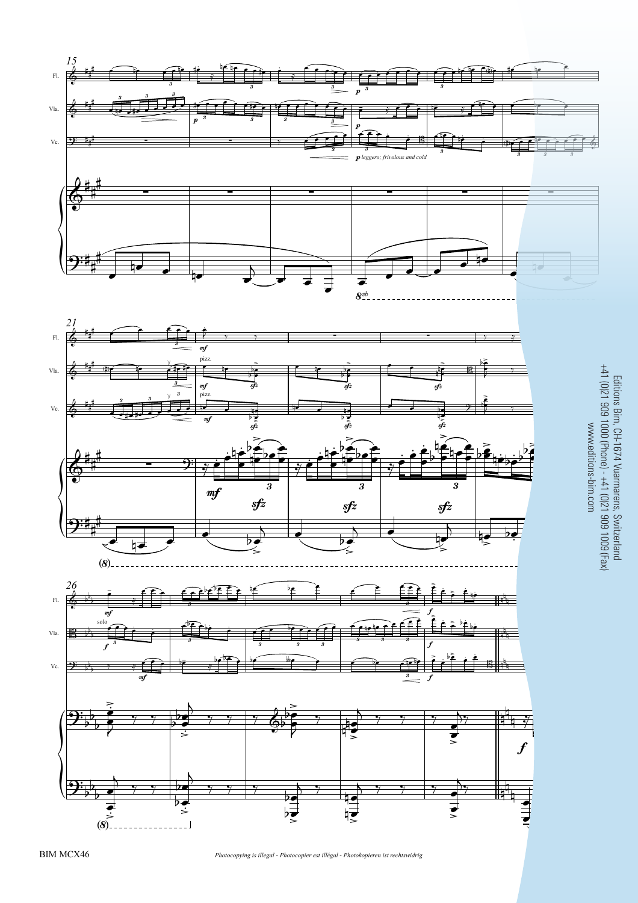

**BIM MCX46**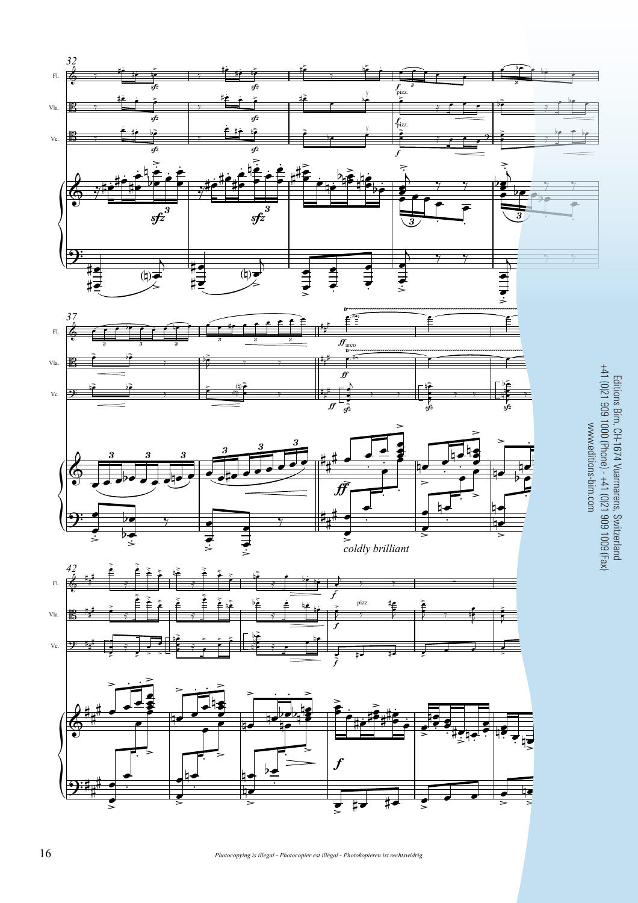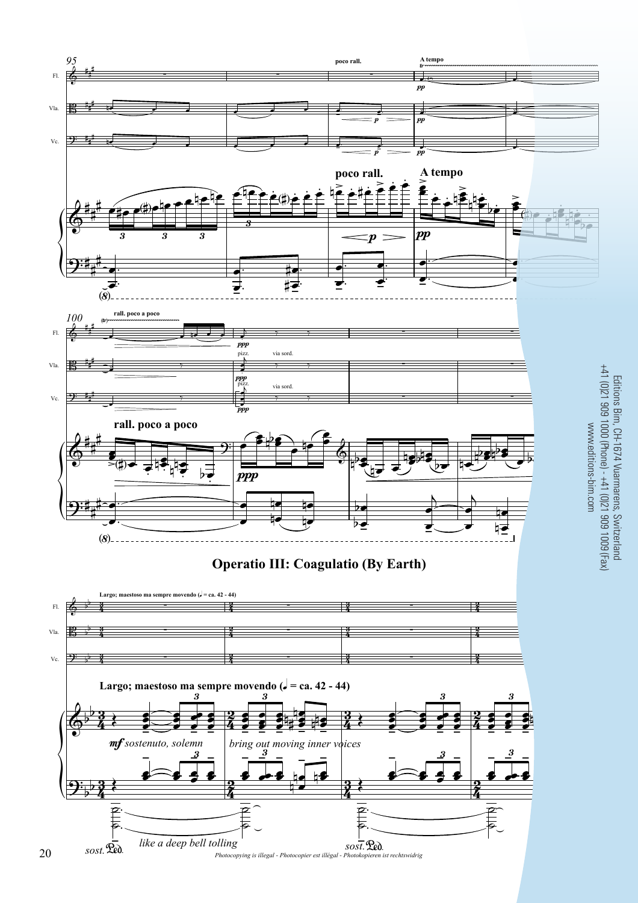

Editions Bim, CH-1674 Vuarmarens, Switzerland +41 (0)21 909 1000 (Phone) - +41 (0)21 909 1009 (Fax)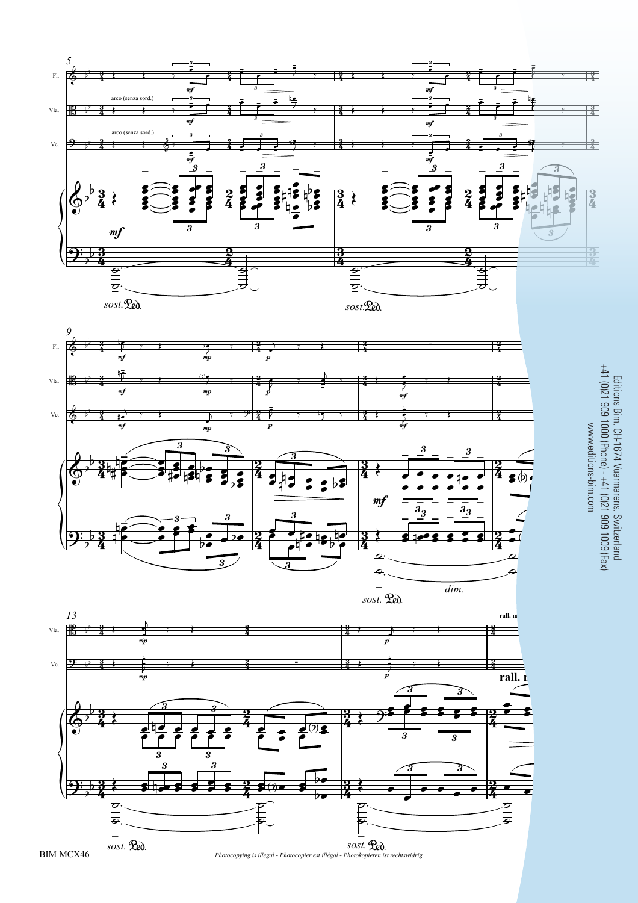



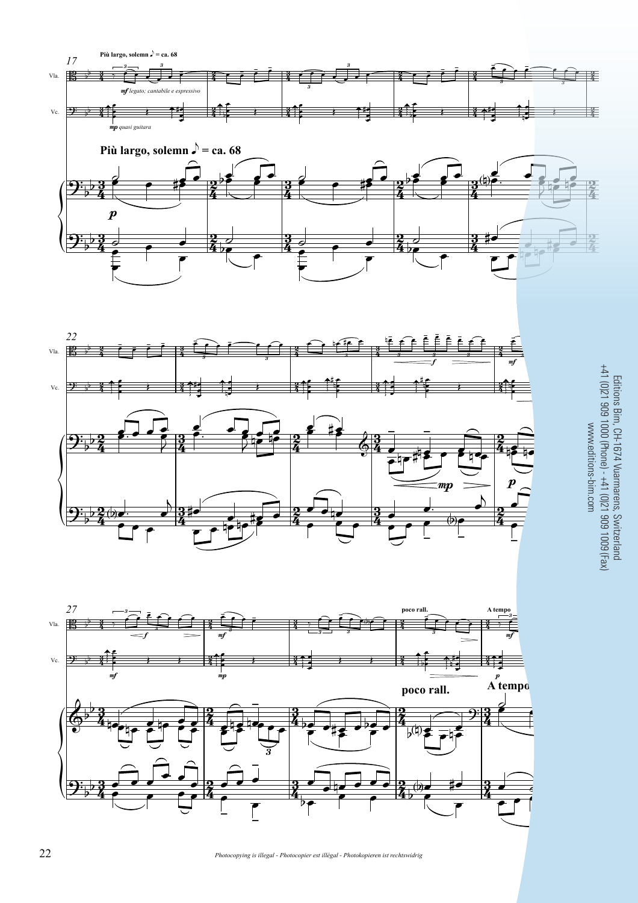



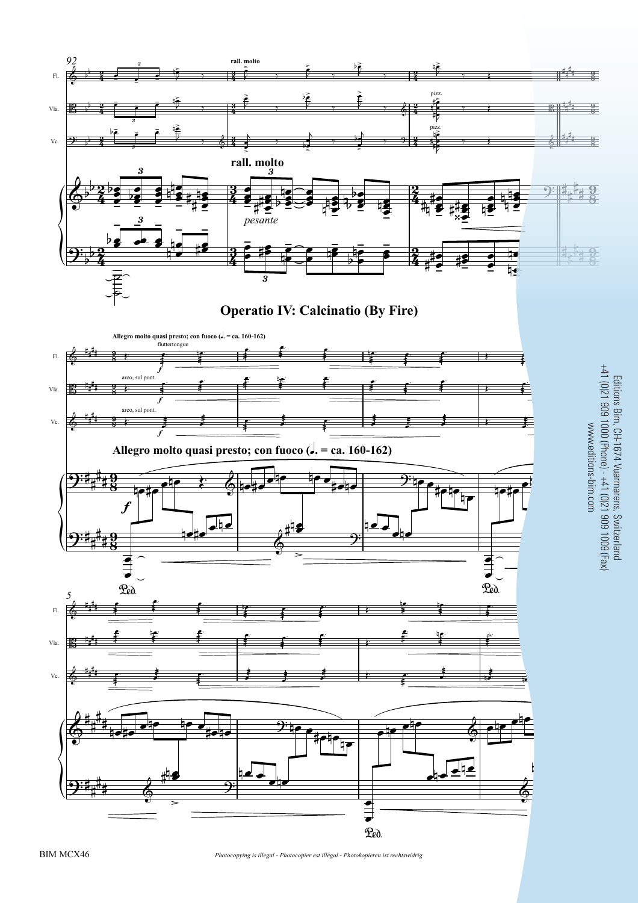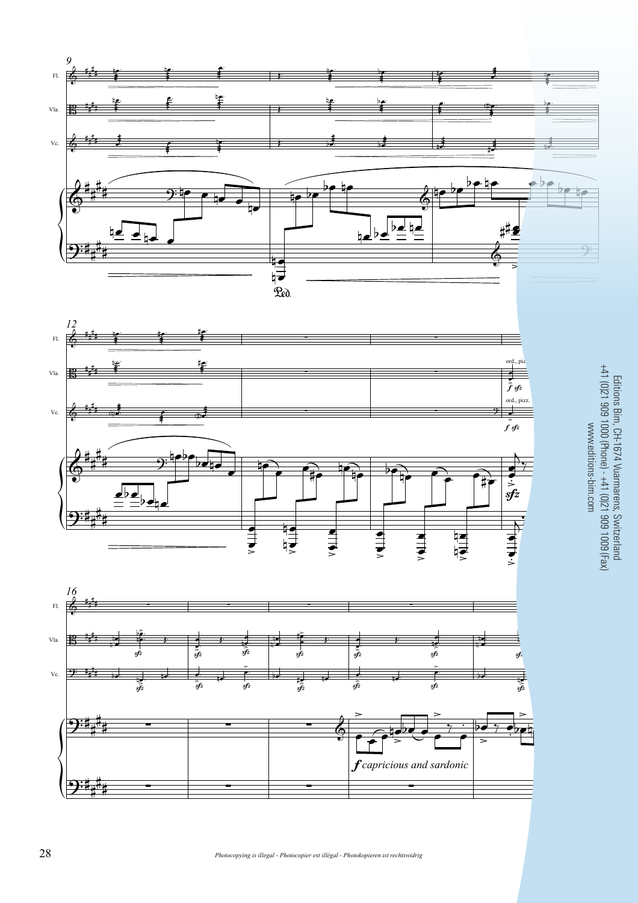



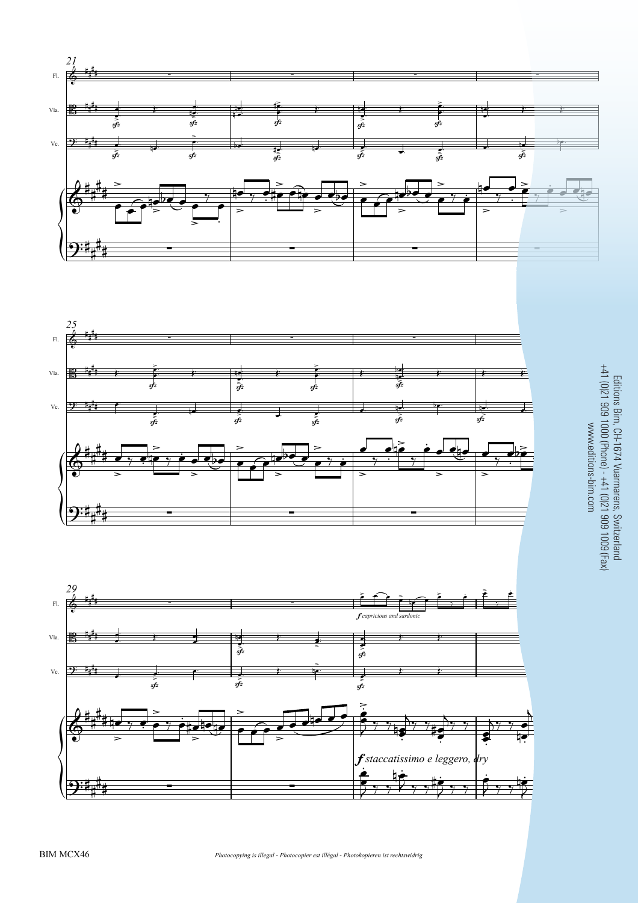

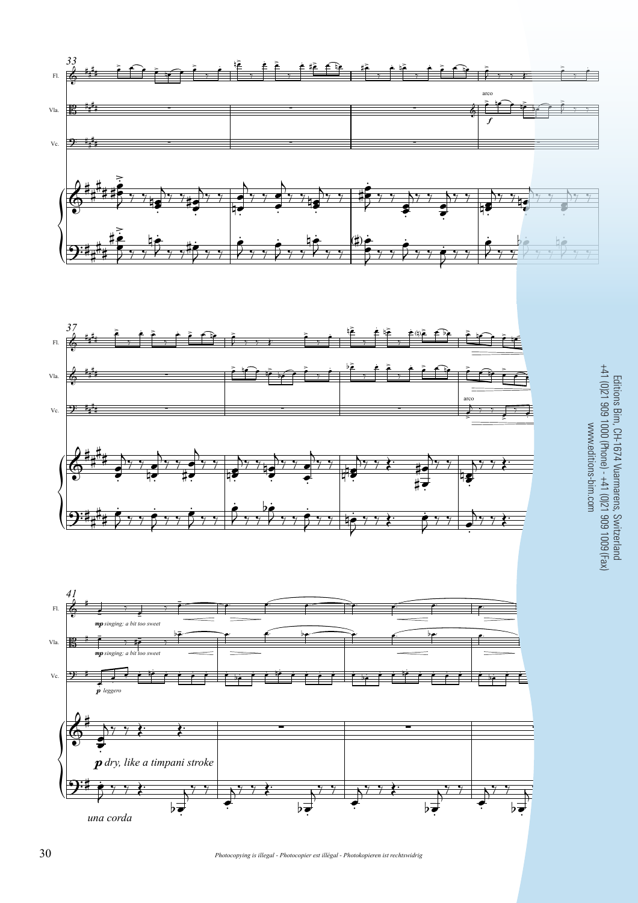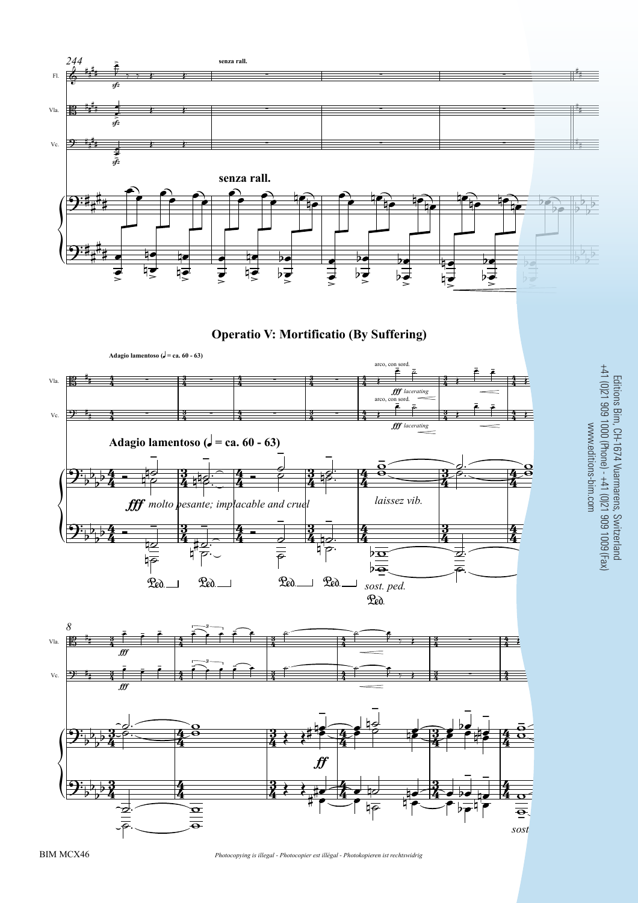





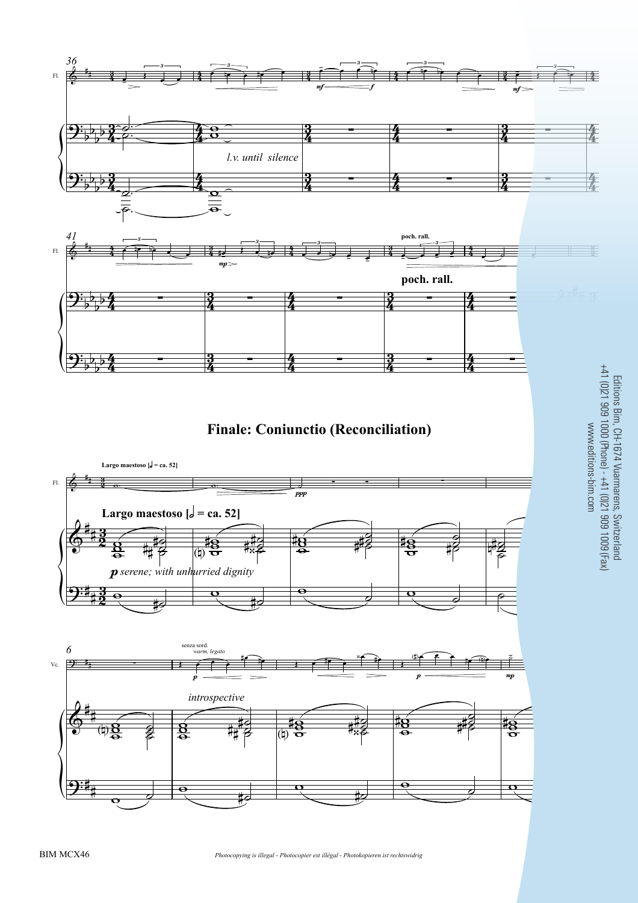

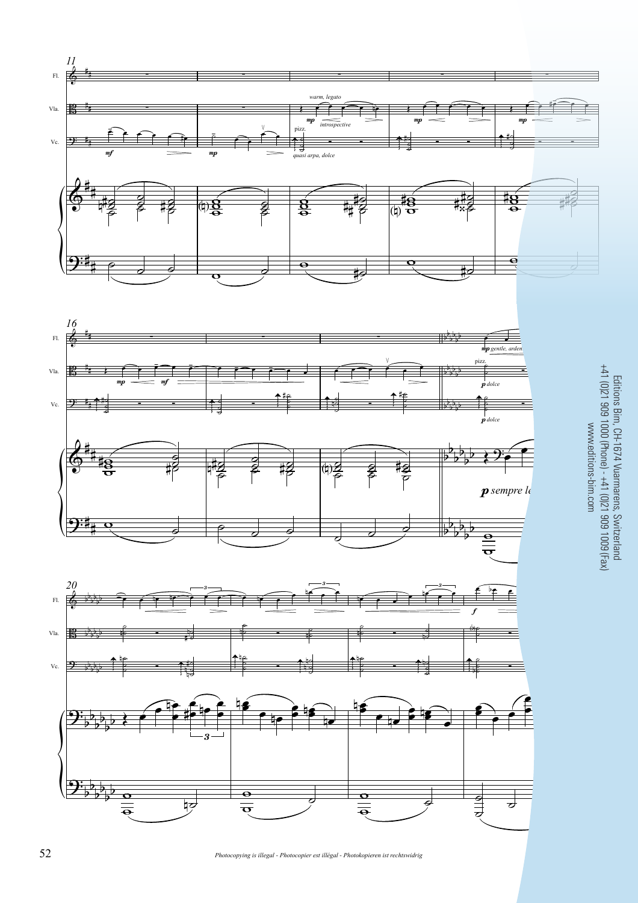





Editions Bim, CH-1674 Vuarmarens, Switzerland<br>+41 (0)21 909 1000 (Phone) - +41 (0)21 909 1009 (Fax) www.editions-bim.com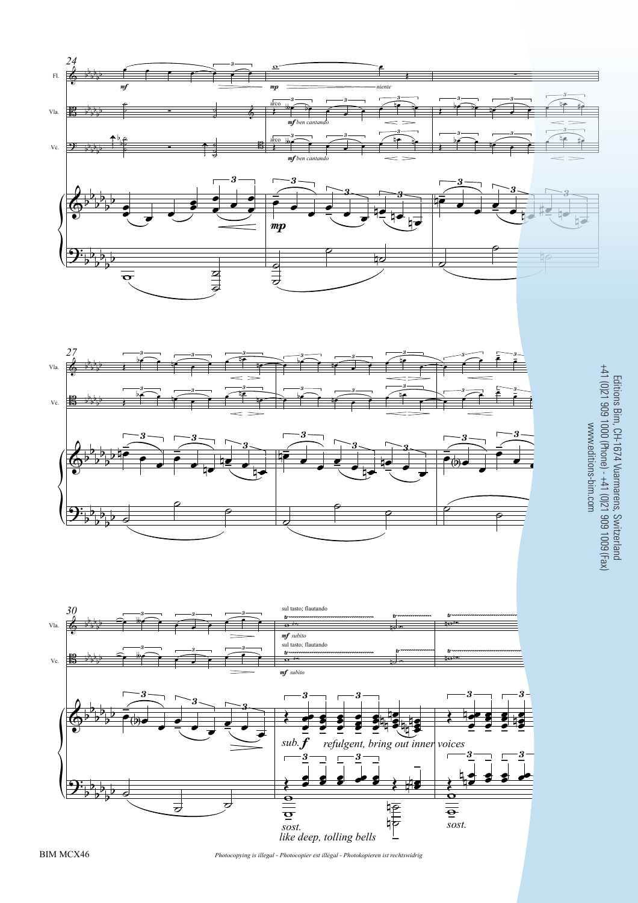

Editions Bim, CH-1674 Vuarmarens, Switzerland<br>+41 (0)21 909 1000 (Phone) - +41 (0)21 909 1009 (Fax) +41 (0)21 909 1000 (Phone) - +41 (0)21 909 1009 (Fax) Editions Bim, CH-1674 Vuarmarens, Switzerland